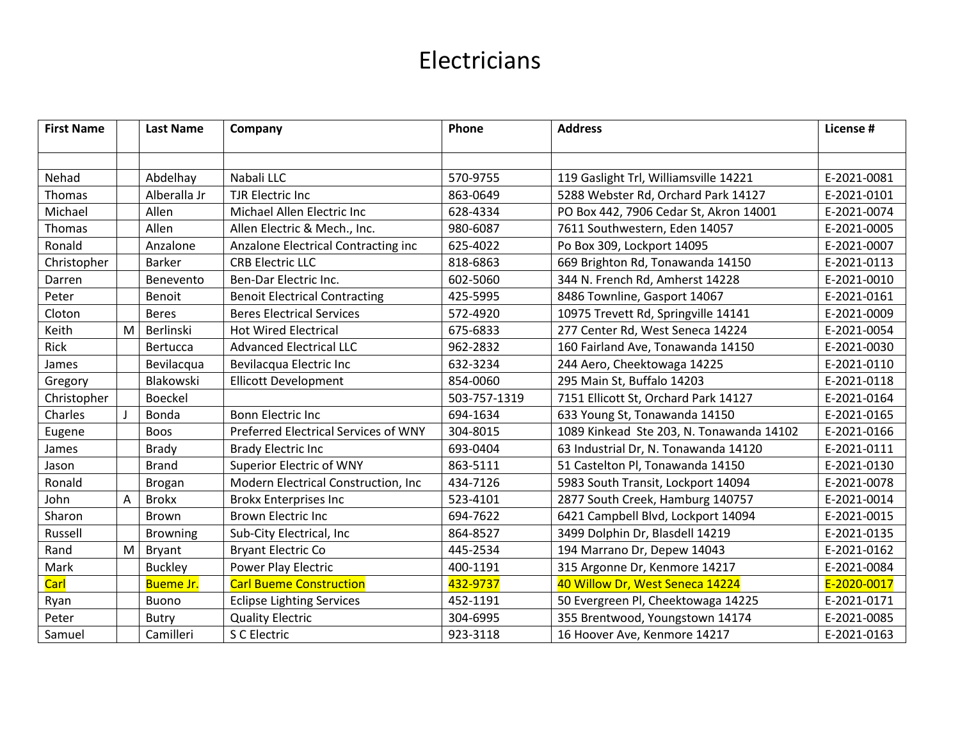| <b>First Name</b> |   | <b>Last Name</b> | Company                              | Phone        | <b>Address</b>                           | License #   |
|-------------------|---|------------------|--------------------------------------|--------------|------------------------------------------|-------------|
|                   |   |                  |                                      |              |                                          |             |
|                   |   |                  |                                      |              |                                          |             |
| Nehad             |   | Abdelhay         | Nabali LLC                           | 570-9755     | 119 Gaslight Trl, Williamsville 14221    | E-2021-0081 |
| <b>Thomas</b>     |   | Alberalla Jr     | <b>TJR Electric Inc</b>              | 863-0649     | 5288 Webster Rd, Orchard Park 14127      | E-2021-0101 |
| Michael           |   | Allen            | Michael Allen Electric Inc           | 628-4334     | PO Box 442, 7906 Cedar St, Akron 14001   | E-2021-0074 |
| Thomas            |   | Allen            | Allen Electric & Mech., Inc.         | 980-6087     | 7611 Southwestern, Eden 14057            | E-2021-0005 |
| Ronald            |   | Anzalone         | Anzalone Electrical Contracting inc  | 625-4022     | Po Box 309, Lockport 14095               | E-2021-0007 |
| Christopher       |   | <b>Barker</b>    | <b>CRB Electric LLC</b>              | 818-6863     | 669 Brighton Rd, Tonawanda 14150         | E-2021-0113 |
| Darren            |   | Benevento        | Ben-Dar Electric Inc.                | 602-5060     | 344 N. French Rd, Amherst 14228          | E-2021-0010 |
| Peter             |   | <b>Benoit</b>    | <b>Benoit Electrical Contracting</b> | 425-5995     | 8486 Townline, Gasport 14067             | E-2021-0161 |
| Cloton            |   | <b>Beres</b>     | <b>Beres Electrical Services</b>     | 572-4920     | 10975 Trevett Rd, Springville 14141      | E-2021-0009 |
| Keith             | M | Berlinski        | <b>Hot Wired Electrical</b>          | 675-6833     | 277 Center Rd, West Seneca 14224         | E-2021-0054 |
| Rick              |   | Bertucca         | <b>Advanced Electrical LLC</b>       | 962-2832     | 160 Fairland Ave, Tonawanda 14150        | E-2021-0030 |
| James             |   | Bevilacqua       | Bevilacqua Electric Inc              | 632-3234     | 244 Aero, Cheektowaga 14225              | E-2021-0110 |
| Gregory           |   | Blakowski        | <b>Ellicott Development</b>          | 854-0060     | 295 Main St, Buffalo 14203               | E-2021-0118 |
| Christopher       |   | <b>Boeckel</b>   |                                      | 503-757-1319 | 7151 Ellicott St, Orchard Park 14127     | E-2021-0164 |
| Charles           |   | Bonda            | <b>Bonn Electric Inc</b>             | 694-1634     | 633 Young St, Tonawanda 14150            | E-2021-0165 |
| Eugene            |   | <b>Boos</b>      | Preferred Electrical Services of WNY | 304-8015     | 1089 Kinkead Ste 203, N. Tonawanda 14102 | E-2021-0166 |
| James             |   | <b>Brady</b>     | <b>Brady Electric Inc</b>            | 693-0404     | 63 Industrial Dr, N. Tonawanda 14120     | E-2021-0111 |
| Jason             |   | <b>Brand</b>     | <b>Superior Electric of WNY</b>      | 863-5111     | 51 Castelton Pl, Tonawanda 14150         | E-2021-0130 |
| Ronald            |   | <b>Brogan</b>    | Modern Electrical Construction, Inc. | 434-7126     | 5983 South Transit, Lockport 14094       | E-2021-0078 |
| John              | A | <b>Brokx</b>     | <b>Brokx Enterprises Inc</b>         | 523-4101     | 2877 South Creek, Hamburg 140757         | E-2021-0014 |
| Sharon            |   | <b>Brown</b>     | <b>Brown Electric Inc</b>            | 694-7622     | 6421 Campbell Blvd, Lockport 14094       | E-2021-0015 |
| Russell           |   | <b>Browning</b>  | Sub-City Electrical, Inc             | 864-8527     | 3499 Dolphin Dr, Blasdell 14219          | E-2021-0135 |
| Rand              | M | <b>Bryant</b>    | <b>Bryant Electric Co</b>            | 445-2534     | 194 Marrano Dr, Depew 14043              | E-2021-0162 |
| Mark              |   | <b>Buckley</b>   | Power Play Electric                  | 400-1191     | 315 Argonne Dr, Kenmore 14217            | E-2021-0084 |
| Carl              |   | <b>Bueme Jr.</b> | <b>Carl Bueme Construction</b>       | 432-9737     | 40 Willow Dr, West Seneca 14224          | E-2020-0017 |
| Ryan              |   | <b>Buono</b>     | <b>Eclipse Lighting Services</b>     | 452-1191     | 50 Evergreen Pl, Cheektowaga 14225       | E-2021-0171 |
| Peter             |   | <b>Butry</b>     | <b>Quality Electric</b>              | 304-6995     | 355 Brentwood, Youngstown 14174          | E-2021-0085 |
| Samuel            |   | Camilleri        | S C Electric                         | 923-3118     | 16 Hoover Ave, Kenmore 14217             | E-2021-0163 |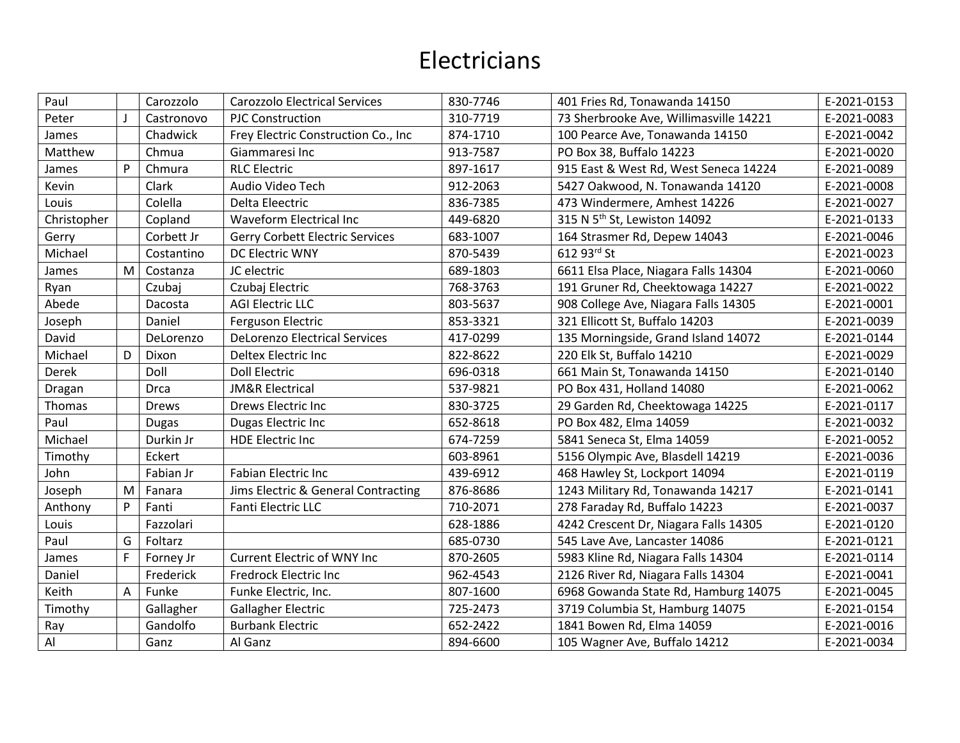| Paul        |   | Carozzolo    | <b>Carozzolo Electrical Services</b> | 830-7746 | 401 Fries Rd, Tonawanda 14150            | E-2021-0153 |
|-------------|---|--------------|--------------------------------------|----------|------------------------------------------|-------------|
| Peter       |   | Castronovo   | <b>PJC Construction</b>              | 310-7719 | 73 Sherbrooke Ave, Willimasville 14221   | E-2021-0083 |
| James       |   | Chadwick     | Frey Electric Construction Co., Inc  | 874-1710 | 100 Pearce Ave, Tonawanda 14150          | E-2021-0042 |
| Matthew     |   | Chmua        | Giammaresi Inc                       | 913-7587 | PO Box 38, Buffalo 14223                 | E-2021-0020 |
| James       | P | Chmura       | <b>RLC Electric</b>                  | 897-1617 | 915 East & West Rd, West Seneca 14224    | E-2021-0089 |
| Kevin       |   | Clark        | Audio Video Tech                     | 912-2063 | 5427 Oakwood, N. Tonawanda 14120         | E-2021-0008 |
| Louis       |   | Colella      | Delta Eleectric                      | 836-7385 | 473 Windermere, Amhest 14226             | E-2021-0027 |
| Christopher |   | Copland      | <b>Waveform Electrical Inc</b>       | 449-6820 | 315 N 5 <sup>th</sup> St, Lewiston 14092 | E-2021-0133 |
| Gerry       |   | Corbett Jr   | Gerry Corbett Electric Services      | 683-1007 | 164 Strasmer Rd, Depew 14043             | E-2021-0046 |
| Michael     |   | Costantino   | DC Electric WNY                      | 870-5439 | 612 93rd St                              | E-2021-0023 |
| James       | M | Costanza     | JC electric                          | 689-1803 | 6611 Elsa Place, Niagara Falls 14304     | E-2021-0060 |
| Ryan        |   | Czubaj       | Czubaj Electric                      | 768-3763 | 191 Gruner Rd, Cheektowaga 14227         | E-2021-0022 |
| Abede       |   | Dacosta      | <b>AGI Electric LLC</b>              | 803-5637 | 908 College Ave, Niagara Falls 14305     | E-2021-0001 |
| Joseph      |   | Daniel       | Ferguson Electric                    | 853-3321 | 321 Ellicott St, Buffalo 14203           | E-2021-0039 |
| David       |   | DeLorenzo    | <b>DeLorenzo Electrical Services</b> | 417-0299 | 135 Morningside, Grand Island 14072      | E-2021-0144 |
| Michael     | D | Dixon        | Deltex Electric Inc                  | 822-8622 | 220 Elk St, Buffalo 14210                | E-2021-0029 |
| Derek       |   | Doll         | <b>Doll Electric</b>                 | 696-0318 | 661 Main St, Tonawanda 14150             | E-2021-0140 |
| Dragan      |   | Drca         | <b>JM&amp;R Electrical</b>           | 537-9821 | PO Box 431, Holland 14080                | E-2021-0062 |
| Thomas      |   | <b>Drews</b> | Drews Electric Inc                   | 830-3725 | 29 Garden Rd, Cheektowaga 14225          | E-2021-0117 |
| Paul        |   | <b>Dugas</b> | Dugas Electric Inc                   | 652-8618 | PO Box 482, Elma 14059                   | E-2021-0032 |
| Michael     |   | Durkin Jr    | <b>HDE Electric Inc</b>              | 674-7259 | 5841 Seneca St, Elma 14059               | E-2021-0052 |
| Timothy     |   | Eckert       |                                      | 603-8961 | 5156 Olympic Ave, Blasdell 14219         | E-2021-0036 |
| John        |   | Fabian Jr    | <b>Fabian Electric Inc</b>           | 439-6912 | 468 Hawley St, Lockport 14094            | E-2021-0119 |
| Joseph      | M | Fanara       | Jims Electric & General Contracting  | 876-8686 | 1243 Military Rd, Tonawanda 14217        | E-2021-0141 |
| Anthony     | P | Fanti        | Fanti Electric LLC                   | 710-2071 | 278 Faraday Rd, Buffalo 14223            | E-2021-0037 |
| Louis       |   | Fazzolari    |                                      | 628-1886 | 4242 Crescent Dr, Niagara Falls 14305    | E-2021-0120 |
| Paul        | G | Foltarz      |                                      | 685-0730 | 545 Lave Ave, Lancaster 14086            | E-2021-0121 |
| James       | F | Forney Jr    | <b>Current Electric of WNY Inc</b>   | 870-2605 | 5983 Kline Rd, Niagara Falls 14304       | E-2021-0114 |
| Daniel      |   | Frederick    | <b>Fredrock Electric Inc</b>         | 962-4543 | 2126 River Rd, Niagara Falls 14304       | E-2021-0041 |
| Keith       | A | Funke        | Funke Electric, Inc.                 | 807-1600 | 6968 Gowanda State Rd, Hamburg 14075     | E-2021-0045 |
| Timothy     |   | Gallagher    | Gallagher Electric                   | 725-2473 | 3719 Columbia St, Hamburg 14075          | E-2021-0154 |
| Ray         |   | Gandolfo     | <b>Burbank Electric</b>              | 652-2422 | 1841 Bowen Rd, Elma 14059                | E-2021-0016 |
| Al          |   | Ganz         | Al Ganz                              | 894-6600 | 105 Wagner Ave, Buffalo 14212            | E-2021-0034 |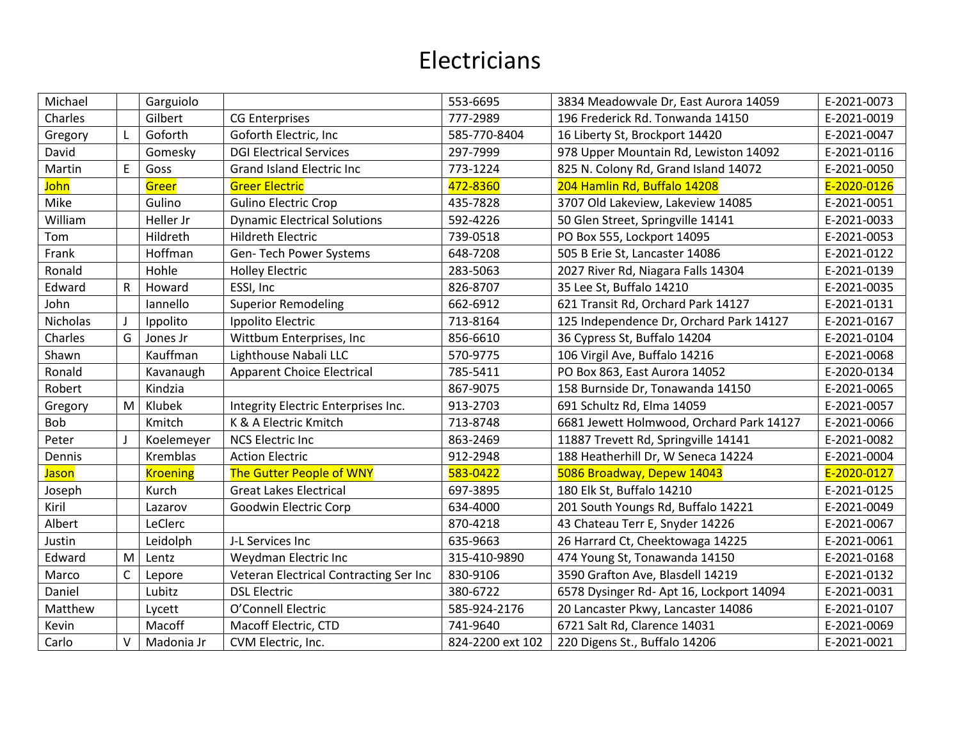| Michael      |        | Garguiolo       |                                        | 553-6695         | 3834 Meadowvale Dr, East Aurora 14059    | E-2021-0073 |
|--------------|--------|-----------------|----------------------------------------|------------------|------------------------------------------|-------------|
| Charles      |        | Gilbert         | <b>CG Enterprises</b>                  | 777-2989         | 196 Frederick Rd. Tonwanda 14150         | E-2021-0019 |
| Gregory      |        | Goforth         | Goforth Electric, Inc                  | 585-770-8404     | 16 Liberty St, Brockport 14420           | E-2021-0047 |
| David        |        | Gomesky         | <b>DGI Electrical Services</b>         | 297-7999         | 978 Upper Mountain Rd, Lewiston 14092    | E-2021-0116 |
| Martin       | E      | Goss            | <b>Grand Island Electric Inc.</b>      | 773-1224         | 825 N. Colony Rd, Grand Island 14072     | E-2021-0050 |
| <b>John</b>  |        | Greer           | <b>Greer Electric</b>                  | 472-8360         | 204 Hamlin Rd, Buffalo 14208             | E-2020-0126 |
| Mike         |        | Gulino          | <b>Gulino Electric Crop</b>            | 435-7828         | 3707 Old Lakeview, Lakeview 14085        | E-2021-0051 |
| William      |        | Heller Jr       | <b>Dynamic Electrical Solutions</b>    | 592-4226         | 50 Glen Street, Springville 14141        | E-2021-0033 |
| Tom          |        | Hildreth        | <b>Hildreth Electric</b>               | 739-0518         | PO Box 555, Lockport 14095               | E-2021-0053 |
| Frank        |        | Hoffman         | Gen-Tech Power Systems                 | 648-7208         | 505 B Erie St, Lancaster 14086           | E-2021-0122 |
| Ronald       |        | Hohle           | <b>Holley Electric</b>                 | 283-5063         | 2027 River Rd, Niagara Falls 14304       | E-2021-0139 |
| Edward       | R      | Howard          | ESSI, Inc                              | 826-8707         | 35 Lee St, Buffalo 14210                 | E-2021-0035 |
| John         |        | lannello        | <b>Superior Remodeling</b>             | 662-6912         | 621 Transit Rd, Orchard Park 14127       | E-2021-0131 |
| Nicholas     |        | Ippolito        | Ippolito Electric                      | 713-8164         | 125 Independence Dr, Orchard Park 14127  | E-2021-0167 |
| Charles      | G      | Jones Jr        | Wittbum Enterprises, Inc.              | 856-6610         | 36 Cypress St, Buffalo 14204             | E-2021-0104 |
| Shawn        |        | Kauffman        | Lighthouse Nabali LLC                  | 570-9775         | 106 Virgil Ave, Buffalo 14216            | E-2021-0068 |
| Ronald       |        | Kavanaugh       | <b>Apparent Choice Electrical</b>      | 785-5411         | PO Box 863, East Aurora 14052            | E-2020-0134 |
| Robert       |        | Kindzia         |                                        | 867-9075         | 158 Burnside Dr, Tonawanda 14150         | E-2021-0065 |
| Gregory      | M      | Klubek          | Integrity Electric Enterprises Inc.    | 913-2703         | 691 Schultz Rd, Elma 14059               | E-2021-0057 |
| Bob          |        | Kmitch          | K & A Electric Kmitch                  | 713-8748         | 6681 Jewett Holmwood, Orchard Park 14127 | E-2021-0066 |
| Peter        |        | Koelemeyer      | <b>NCS Electric Inc</b>                | 863-2469         | 11887 Trevett Rd, Springville 14141      | E-2021-0082 |
| Dennis       |        | Kremblas        | <b>Action Electric</b>                 | 912-2948         | 188 Heatherhill Dr, W Seneca 14224       | E-2021-0004 |
| <b>Jason</b> |        | <b>Kroening</b> | <b>The Gutter People of WNY</b>        | 583-0422         | 5086 Broadway, Depew 14043               | E-2020-0127 |
| Joseph       |        | Kurch           | <b>Great Lakes Electrical</b>          | 697-3895         | 180 Elk St, Buffalo 14210                | E-2021-0125 |
| Kiril        |        | Lazarov         | Goodwin Electric Corp                  | 634-4000         | 201 South Youngs Rd, Buffalo 14221       | E-2021-0049 |
| Albert       |        | LeClerc         |                                        | 870-4218         | 43 Chateau Terr E, Snyder 14226          | E-2021-0067 |
| Justin       |        | Leidolph        | J-L Services Inc                       | 635-9663         | 26 Harrard Ct, Cheektowaga 14225         | E-2021-0061 |
| Edward       | M      | Lentz           | Weydman Electric Inc                   | 315-410-9890     | 474 Young St, Tonawanda 14150            | E-2021-0168 |
| Marco        | C      | Lepore          | Veteran Electrical Contracting Ser Inc | 830-9106         | 3590 Grafton Ave, Blasdell 14219         | E-2021-0132 |
| Daniel       |        | Lubitz          | <b>DSL Electric</b>                    | 380-6722         | 6578 Dysinger Rd- Apt 16, Lockport 14094 | E-2021-0031 |
| Matthew      |        | Lycett          | O'Connell Electric                     | 585-924-2176     | 20 Lancaster Pkwy, Lancaster 14086       | E-2021-0107 |
| Kevin        |        | Macoff          | Macoff Electric, CTD                   | 741-9640         | 6721 Salt Rd, Clarence 14031             | E-2021-0069 |
| Carlo        | $\vee$ | Madonia Jr      | CVM Electric, Inc.                     | 824-2200 ext 102 | 220 Digens St., Buffalo 14206            | E-2021-0021 |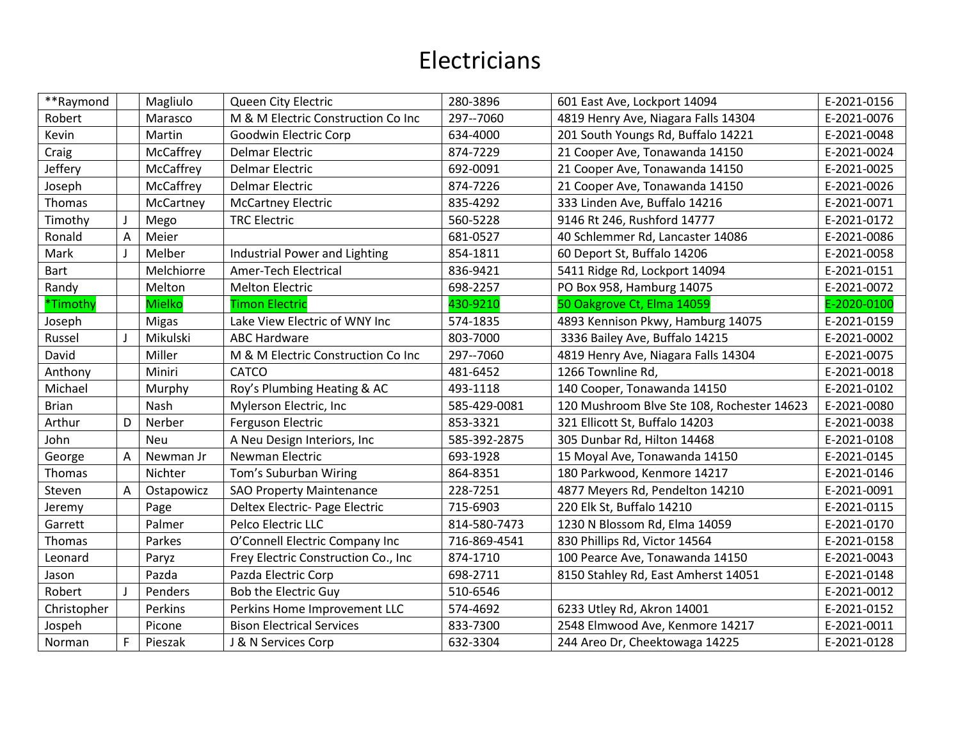| **Raymond    |   | Magliulo      | Queen City Electric                 | 280-3896     | 601 East Ave, Lockport 14094               | E-2021-0156 |
|--------------|---|---------------|-------------------------------------|--------------|--------------------------------------------|-------------|
| Robert       |   | Marasco       | M & M Electric Construction Co Inc  | 297--7060    | 4819 Henry Ave, Niagara Falls 14304        | E-2021-0076 |
| Kevin        |   | Martin        | Goodwin Electric Corp               | 634-4000     | 201 South Youngs Rd, Buffalo 14221         | E-2021-0048 |
| Craig        |   | McCaffrey     | <b>Delmar Electric</b>              | 874-7229     | 21 Cooper Ave, Tonawanda 14150             | E-2021-0024 |
| Jeffery      |   | McCaffrey     | <b>Delmar Electric</b>              | 692-0091     | 21 Cooper Ave, Tonawanda 14150             | E-2021-0025 |
| Joseph       |   | McCaffrey     | <b>Delmar Electric</b>              | 874-7226     | 21 Cooper Ave, Tonawanda 14150             | E-2021-0026 |
| Thomas       |   | McCartney     | <b>McCartney Electric</b>           | 835-4292     | 333 Linden Ave, Buffalo 14216              | E-2021-0071 |
| Timothy      |   | Mego          | <b>TRC Electric</b>                 | 560-5228     | 9146 Rt 246, Rushford 14777                | E-2021-0172 |
| Ronald       | A | Meier         |                                     | 681-0527     | 40 Schlemmer Rd, Lancaster 14086           | E-2021-0086 |
| Mark         |   | Melber        | Industrial Power and Lighting       | 854-1811     | 60 Deport St, Buffalo 14206                | E-2021-0058 |
| Bart         |   | Melchiorre    | Amer-Tech Electrical                | 836-9421     | 5411 Ridge Rd, Lockport 14094              | E-2021-0151 |
| Randy        |   | Melton        | <b>Melton Electric</b>              | 698-2257     | PO Box 958, Hamburg 14075                  | E-2021-0072 |
| *Timothy     |   | <b>Mielko</b> | <b>Timon Electric</b>               | 430-9210     | 50 Oakgrove Ct, Elma 14059                 | E-2020-0100 |
| Joseph       |   | <b>Migas</b>  | Lake View Electric of WNY Inc       | 574-1835     | 4893 Kennison Pkwy, Hamburg 14075          | E-2021-0159 |
| Russel       |   | Mikulski      | <b>ABC Hardware</b>                 | 803-7000     | 3336 Bailey Ave, Buffalo 14215             | E-2021-0002 |
| David        |   | Miller        | M & M Electric Construction Co Inc  | 297--7060    | 4819 Henry Ave, Niagara Falls 14304        | E-2021-0075 |
| Anthony      |   | Miniri        | <b>CATCO</b>                        | 481-6452     | 1266 Townline Rd,                          | E-2021-0018 |
| Michael      |   | Murphy        | Roy's Plumbing Heating & AC         | 493-1118     | 140 Cooper, Tonawanda 14150                | E-2021-0102 |
| <b>Brian</b> |   | Nash          | Mylerson Electric, Inc.             | 585-429-0081 | 120 Mushroom Blve Ste 108, Rochester 14623 | E-2021-0080 |
| Arthur       | D | Nerber        | Ferguson Electric                   | 853-3321     | 321 Ellicott St, Buffalo 14203             | E-2021-0038 |
| John         |   | <b>Neu</b>    | A Neu Design Interiors, Inc.        | 585-392-2875 | 305 Dunbar Rd, Hilton 14468                | E-2021-0108 |
| George       | Α | Newman Jr     | Newman Electric                     | 693-1928     | 15 Moyal Ave, Tonawanda 14150              | E-2021-0145 |
| Thomas       |   | Nichter       | Tom's Suburban Wiring               | 864-8351     | 180 Parkwood, Kenmore 14217                | E-2021-0146 |
| Steven       | A | Ostapowicz    | <b>SAO Property Maintenance</b>     | 228-7251     | 4877 Meyers Rd, Pendelton 14210            | E-2021-0091 |
| Jeremy       |   | Page          | Deltex Electric- Page Electric      | 715-6903     | 220 Elk St, Buffalo 14210                  | E-2021-0115 |
| Garrett      |   | Palmer        | Pelco Electric LLC                  | 814-580-7473 | 1230 N Blossom Rd, Elma 14059              | E-2021-0170 |
| Thomas       |   | Parkes        | O'Connell Electric Company Inc      | 716-869-4541 | 830 Phillips Rd, Victor 14564              | E-2021-0158 |
| Leonard      |   | Paryz         | Frey Electric Construction Co., Inc | 874-1710     | 100 Pearce Ave, Tonawanda 14150            | E-2021-0043 |
| Jason        |   | Pazda         | Pazda Electric Corp                 | 698-2711     | 8150 Stahley Rd, East Amherst 14051        | E-2021-0148 |
| Robert       |   | Penders       | Bob the Electric Guy                | 510-6546     |                                            | E-2021-0012 |
| Christopher  |   | Perkins       | Perkins Home Improvement LLC        | 574-4692     | 6233 Utley Rd, Akron 14001                 | E-2021-0152 |
| Jospeh       |   | Picone        | <b>Bison Electrical Services</b>    | 833-7300     | 2548 Elmwood Ave, Kenmore 14217            | E-2021-0011 |
| Norman       | F | Pieszak       | J & N Services Corp                 | 632-3304     | 244 Areo Dr, Cheektowaga 14225             | E-2021-0128 |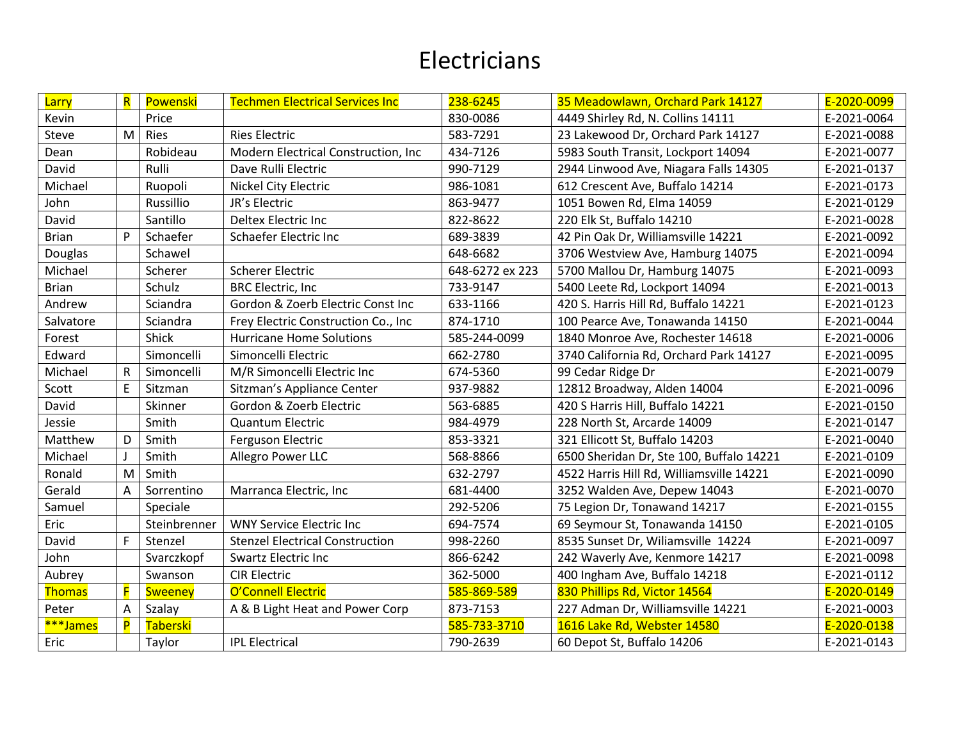| Larry         | $\overline{\mathsf{R}}$ | Powenski        | <b>Techmen Electrical Services Inc</b> | 238-6245        | 35 Meadowlawn, Orchard Park 14127        | E-2020-0099 |
|---------------|-------------------------|-----------------|----------------------------------------|-----------------|------------------------------------------|-------------|
| Kevin         |                         | Price           |                                        | 830-0086        | 4449 Shirley Rd, N. Collins 14111        | E-2021-0064 |
| Steve         | M                       | Ries            | <b>Ries Electric</b>                   | 583-7291        | 23 Lakewood Dr, Orchard Park 14127       | E-2021-0088 |
| Dean          |                         | Robideau        | Modern Electrical Construction, Inc    | 434-7126        | 5983 South Transit, Lockport 14094       | E-2021-0077 |
| David         |                         | Rulli           | Dave Rulli Electric                    | 990-7129        | 2944 Linwood Ave, Niagara Falls 14305    | E-2021-0137 |
| Michael       |                         | Ruopoli         | Nickel City Electric                   | 986-1081        | 612 Crescent Ave, Buffalo 14214          | E-2021-0173 |
| John          |                         | Russillio       | JR's Electric                          | 863-9477        | 1051 Bowen Rd, Elma 14059                | E-2021-0129 |
| David         |                         | Santillo        | Deltex Electric Inc                    | 822-8622        | 220 Elk St, Buffalo 14210                | E-2021-0028 |
| <b>Brian</b>  | P                       | Schaefer        | Schaefer Electric Inc                  | 689-3839        | 42 Pin Oak Dr, Williamsville 14221       | E-2021-0092 |
| Douglas       |                         | Schawel         |                                        | 648-6682        | 3706 Westview Ave, Hamburg 14075         | E-2021-0094 |
| Michael       |                         | Scherer         | <b>Scherer Electric</b>                | 648-6272 ex 223 | 5700 Mallou Dr, Hamburg 14075            | E-2021-0093 |
| <b>Brian</b>  |                         | Schulz          | <b>BRC Electric, Inc.</b>              | 733-9147        | 5400 Leete Rd, Lockport 14094            | E-2021-0013 |
| Andrew        |                         | Sciandra        | Gordon & Zoerb Electric Const Inc      | 633-1166        | 420 S. Harris Hill Rd, Buffalo 14221     | E-2021-0123 |
| Salvatore     |                         | Sciandra        | Frey Electric Construction Co., Inc.   | 874-1710        | 100 Pearce Ave, Tonawanda 14150          | E-2021-0044 |
| Forest        |                         | Shick           | <b>Hurricane Home Solutions</b>        | 585-244-0099    | 1840 Monroe Ave, Rochester 14618         | E-2021-0006 |
| Edward        |                         | Simoncelli      | Simoncelli Electric                    | 662-2780        | 3740 California Rd, Orchard Park 14127   | E-2021-0095 |
| Michael       | R                       | Simoncelli      | M/R Simoncelli Electric Inc            | 674-5360        | 99 Cedar Ridge Dr                        | E-2021-0079 |
| Scott         | F                       | Sitzman         | Sitzman's Appliance Center             | 937-9882        | 12812 Broadway, Alden 14004              | E-2021-0096 |
| David         |                         | Skinner         | Gordon & Zoerb Electric                | 563-6885        | 420 S Harris Hill, Buffalo 14221         | E-2021-0150 |
| Jessie        |                         | Smith           | <b>Quantum Electric</b>                | 984-4979        | 228 North St, Arcarde 14009              | E-2021-0147 |
| Matthew       | D                       | Smith           | Ferguson Electric                      | 853-3321        | 321 Ellicott St, Buffalo 14203           | E-2021-0040 |
| Michael       |                         | Smith           | Allegro Power LLC                      | 568-8866        | 6500 Sheridan Dr, Ste 100, Buffalo 14221 | E-2021-0109 |
| Ronald        | M                       | Smith           |                                        | 632-2797        | 4522 Harris Hill Rd, Williamsville 14221 | E-2021-0090 |
| Gerald        | A                       | Sorrentino      | Marranca Electric, Inc                 | 681-4400        | 3252 Walden Ave, Depew 14043             | E-2021-0070 |
| Samuel        |                         | Speciale        |                                        | 292-5206        | 75 Legion Dr, Tonawand 14217             | E-2021-0155 |
| Eric          |                         | Steinbrenner    | <b>WNY Service Electric Inc</b>        | 694-7574        | 69 Seymour St, Tonawanda 14150           | E-2021-0105 |
| David         | E                       | Stenzel         | <b>Stenzel Electrical Construction</b> | 998-2260        | 8535 Sunset Dr, Wiliamsville 14224       | E-2021-0097 |
| John          |                         | Svarczkopf      | <b>Swartz Electric Inc</b>             | 866-6242        | 242 Waverly Ave, Kenmore 14217           | E-2021-0098 |
| Aubrey        |                         | Swanson         | <b>CIR Electric</b>                    | 362-5000        | 400 Ingham Ave, Buffalo 14218            | E-2021-0112 |
| <b>Thomas</b> | F                       | <b>Sweeney</b>  | O'Connell Electric                     | 585-869-589     | 830 Phillips Rd, Victor 14564            | E-2020-0149 |
| Peter         | A                       | Szalay          | A & B Light Heat and Power Corp        | 873-7153        | 227 Adman Dr, Williamsville 14221        | E-2021-0003 |
| ***James      | P                       | <b>Taberski</b> |                                        | 585-733-3710    | 1616 Lake Rd, Webster 14580              | E-2020-0138 |
| Eric          |                         | Taylor          | <b>IPL Electrical</b>                  | 790-2639        | 60 Depot St, Buffalo 14206               | E-2021-0143 |